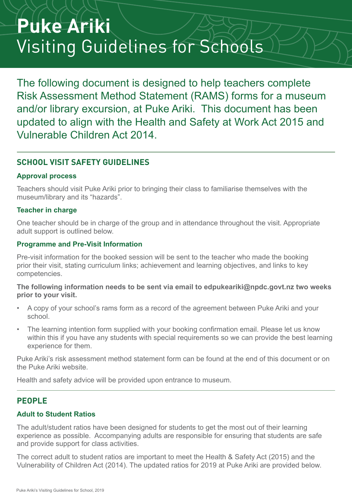# **Puke Ariki** Visiting Guidelines for Schools

The following document is designed to help teachers complete Risk Assessment Method Statement (RAMS) forms for a museum and/or library excursion, at Puke Ariki. This document has been updated to align with the Health and Safety at Work Act 2015 and Vulnerable Children Act 2014.

# **SCHOOL VISIT SAFETY GUIDELINES**

#### **Approval process**

Teachers should visit Puke Ariki prior to bringing their class to familiarise themselves with the museum/library and its "hazards".

#### **Teacher in charge**

One teacher should be in charge of the group and in attendance throughout the visit. Appropriate adult support is outlined below.

#### **Programme and Pre-Visit Information**

Pre-visit information for the booked session will be sent to the teacher who made the booking prior their visit, stating curriculum links; achievement and learning objectives, and links to key competencies.

#### **The following information needs to be sent via email to edpukeariki@npdc.govt.nz two weeks prior to your visit.**

- A copy of your school's rams form as a record of the agreement between Puke Ariki and your school.
- The learning intention form supplied with your booking confirmation email. Please let us know within this if you have any students with special requirements so we can provide the best learning experience for them.

Puke Ariki's risk assessment method statement form can be found at the end of this document or on the Puke Ariki website.

Health and safety advice will be provided upon entrance to museum.

# **PEOPLE**

#### **Adult to Student Ratios**

The adult/student ratios have been designed for students to get the most out of their learning experience as possible. Accompanying adults are responsible for ensuring that students are safe and provide support for class activities.

The correct adult to student ratios are important to meet the Health & Safety Act (2015) and the Vulnerability of Children Act (2014). The updated ratios for 2019 at Puke Ariki are provided below.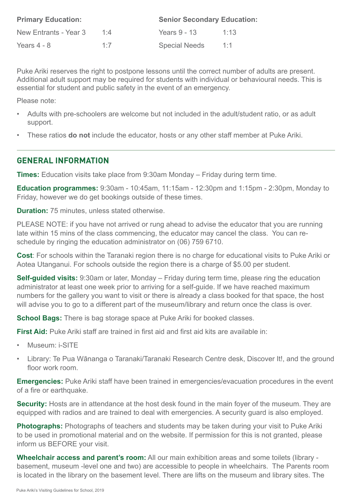| <b>Primary Education:</b> |     | <b>Senior Secondary Education:</b> |      |  |
|---------------------------|-----|------------------------------------|------|--|
| New Entrants - Year 3     | 1:4 | Years 9 - 13                       | 1:13 |  |
| Years $4 - 8$             | 1.7 | <b>Special Needs</b>               | 1:1  |  |

Puke Ariki reserves the right to postpone lessons until the correct number of adults are present. Additional adult support may be required for students with individual or behavioural needs. This is essential for student and public safety in the event of an emergency.

Please note:

- Adults with pre-schoolers are welcome but not included in the adult/student ratio, or as adult support.
- These ratios **do not** include the educator, hosts or any other staff member at Puke Ariki.

### **GENERAL INFORMATION**

**Times:** Education visits take place from 9:30am Monday – Friday during term time.

**Education programmes:** 9:30am - 10:45am, 11:15am - 12:30pm and 1:15pm - 2:30pm, Monday to Friday, however we do get bookings outside of these times.

**Duration:** 75 minutes, unless stated otherwise.

PLEASE NOTE: if you have not arrived or rung ahead to advise the educator that you are running late within 15 mins of the class commencing, the educator may cancel the class. You can reschedule by ringing the education administrator on (06) 759 6710.

**Cost**: For schools within the Taranaki region there is no charge for educational visits to Puke Ariki or Aotea Utanganui. For schools outside the region there is a charge of \$5.00 per student.

**Self-guided visits:** 9:30am or later, Monday – Friday during term time, please ring the education administrator at least one week prior to arriving for a self-guide. If we have reached maximum numbers for the gallery you want to visit or there is already a class booked for that space, the host will advise you to go to a different part of the museum/library and return once the class is over.

**School Bags:** There is bag storage space at Puke Ariki for booked classes.

**First Aid:** Puke Ariki staff are trained in first aid and first aid kits are available in:

- Museum: i-SITE
- Library: Te Pua Wānanga o Taranaki/Taranaki Research Centre desk, Discover It!, and the ground floor work room.

**Emergencies:** Puke Ariki staff have been trained in emergencies/evacuation procedures in the event of a fire or earthquake.

**Security:** Hosts are in attendance at the host desk found in the main foyer of the museum. They are equipped with radios and are trained to deal with emergencies. A security guard is also employed.

**Photographs:** Photographs of teachers and students may be taken during your visit to Puke Ariki to be used in promotional material and on the website. If permission for this is not granted, please inform us BEFORE your visit.

**Wheelchair access and parent's room:** All our main exhibition areas and some toilets (library basement, museum -level one and two) are accessible to people in wheelchairs. The Parents room is located in the library on the basement level. There are lifts on the museum and library sites. The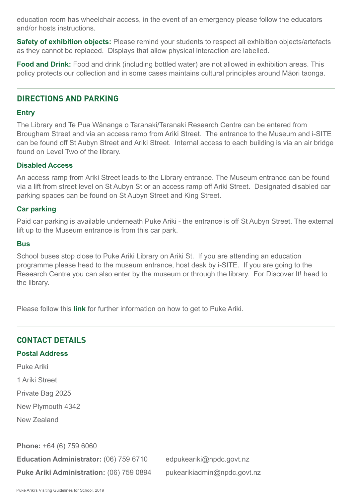education room has wheelchair access, in the event of an emergency please follow the educators and/or hosts instructions.

**Safety of exhibition objects:** Please remind your students to respect all exhibition objects/artefacts as they cannot be replaced. Displays that allow physical interaction are labelled.

**Food and Drink:** Food and drink (including bottled water) are not allowed in exhibition areas. This policy protects our collection and in some cases maintains cultural principles around Māori taonga.

### **DIRECTIONS AND PARKING**

#### **Entry**

The Library and Te Pua Wānanga o Taranaki/Taranaki Research Centre can be entered from Brougham Street and via an access ramp from Ariki Street. The entrance to the Museum and i-SITE can be found off St Aubyn Street and Ariki Street. Internal access to each building is via an air bridge found on Level Two of the library.

#### **Disabled Access**

An access ramp from Ariki Street leads to the Library entrance. The Museum entrance can be found via a lift from street level on St Aubyn St or an access ramp off Ariki Street. Designated disabled car parking spaces can be found on St Aubyn Street and King Street.

#### **Car parking**

Paid car parking is available underneath Puke Ariki - the entrance is off St Aubyn Street. The external lift up to the Museum entrance is from this car park.

#### **Bus**

School buses stop close to Puke Ariki Library on Ariki St. If you are attending an education programme please head to the museum entrance, host desk by i-SITE. If you are going to the Research Centre you can also enter by the museum or through the library. For Discover It! head to the library.

Please follow this **link** for further information on how to get to Puke Ariki.

#### **CONTACT DETAILS**

#### **Postal Address**

Puke Ariki

1 Ariki Street

Private Bag 2025

New Plymouth 4342

New Zealand

**Phone:** +64 (6) 759 6060

Education Administrator: (06) 759 6710 edpukeariki@npdc.govt.nz **Puke Ariki Administration:** (06) 759 0894 pukearikiadmin@npdc.govt.nz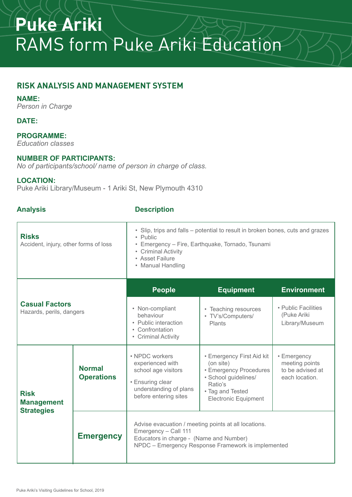# **Puke Ariki**  RAMS form Puke Ariki Education

# **RISK ANALYSIS AND MANAGEMENT SYSTEM**

#### **NAME:**

*Person in Charge* 

### **DATE:**

#### **PROGRAMME:**

*Education classes*

#### **NUMBER OF PARTICIPANTS:**

*No of participants/school/ name of person in charge of class.*

#### **LOCATION:**

Puke Ariki Library/Museum - 1 Ariki St, New Plymouth 4310

#### **Analysis Description**

| <b>Risks</b><br>Accident, injury, other forms of loss |                                    | · Slip, trips and falls - potential to result in broken bones, cuts and grazes<br>• Public<br>• Emergency - Fire, Earthquake, Tornado, Tsunami<br>• Criminal Activity<br>• Asset Failure<br>• Manual Handling |                                                                                                                                                        |                                                                     |  |
|-------------------------------------------------------|------------------------------------|---------------------------------------------------------------------------------------------------------------------------------------------------------------------------------------------------------------|--------------------------------------------------------------------------------------------------------------------------------------------------------|---------------------------------------------------------------------|--|
| <b>Casual Factors</b><br>Hazards, perils, dangers     |                                    | <b>People</b>                                                                                                                                                                                                 | <b>Equipment</b>                                                                                                                                       | <b>Environment</b>                                                  |  |
|                                                       |                                    | • Non-compliant<br>behaviour<br>• Public interaction<br>• Confrontation<br>• Criminal Activity                                                                                                                | • Teaching resources<br>• TV's/Computers/<br><b>Plants</b>                                                                                             | • Public Facilities<br>(Puke Ariki<br>Library/Museum                |  |
| <b>Risk</b><br><b>Management</b><br><b>Strategies</b> | <b>Normal</b><br><b>Operations</b> | • NPDC workers<br>experienced with<br>school age visitors<br>• Ensuring clear<br>understanding of plans<br>before entering sites                                                                              | • Emergency First Aid kit<br>(on site)<br>• Emergency Procedures<br>· School guidelines/<br>Ratio's<br>• Tag and Tested<br><b>Electronic Equipment</b> | • Emergency<br>meeting points<br>to be advised at<br>each location. |  |
|                                                       | <b>Emergency</b>                   | Advise evacuation / meeting points at all locations.<br>Emergency - Call 111<br>Educators in charge - (Name and Number)<br>NPDC - Emergency Response Framework is implemented                                 |                                                                                                                                                        |                                                                     |  |